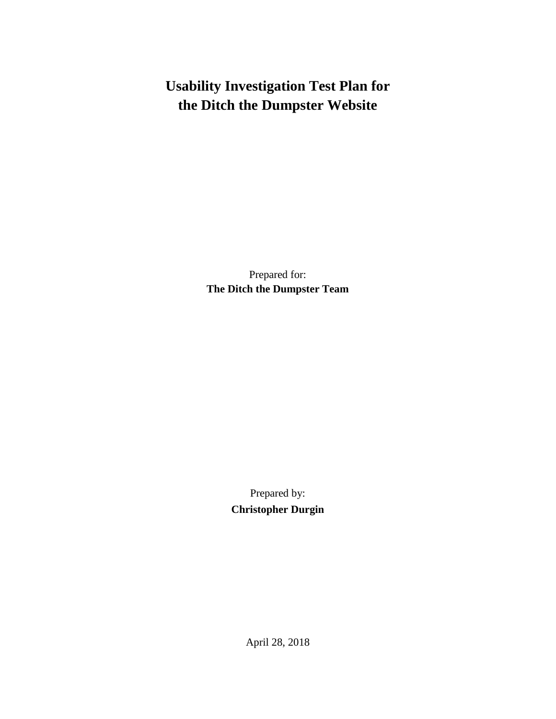# **Usability Investigation Test Plan for the Ditch the Dumpster Website**

Prepared for: **The Ditch the Dumpster Team**

> Prepared by: **Christopher Durgin**

> > April 28, 2018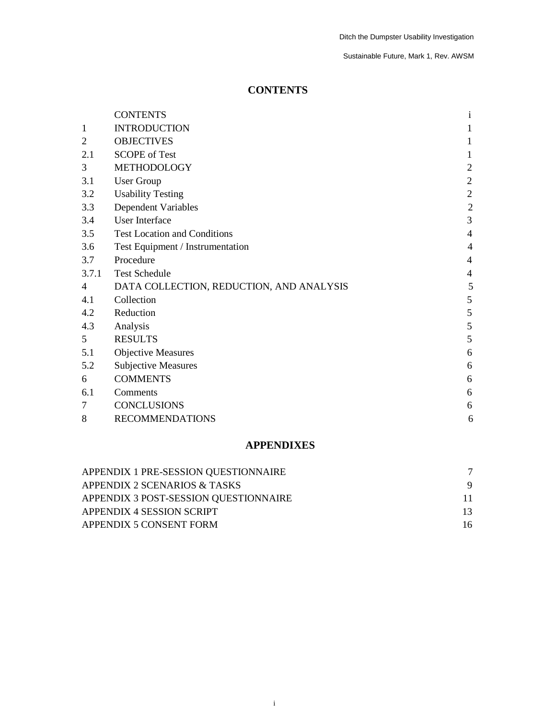## **CONTENTS**

|                | <b>CONTENTS</b>                          | $\mathbf{i}$   |
|----------------|------------------------------------------|----------------|
| 1              | <b>INTRODUCTION</b>                      | 1              |
| $\overline{2}$ | <b>OBJECTIVES</b>                        | $\mathbf{1}$   |
| 2.1            | <b>SCOPE</b> of Test                     |                |
| 3              | <b>METHODOLOGY</b>                       | $\sqrt{2}$     |
| 3.1            | <b>User Group</b>                        | $\overline{2}$ |
| 3.2            | <b>Usability Testing</b>                 | $\overline{2}$ |
| 3.3            | <b>Dependent Variables</b>               | $\overline{2}$ |
| 3.4            | User Interface                           | 3              |
| 3.5            | <b>Test Location and Conditions</b>      | $\overline{4}$ |
| 3.6            | Test Equipment / Instrumentation         | $\overline{4}$ |
| 3.7            | Procedure                                | $\overline{4}$ |
| 3.7.1          | <b>Test Schedule</b>                     | $\overline{4}$ |
| 4              | DATA COLLECTION, REDUCTION, AND ANALYSIS | 5              |
| 4.1            | Collection                               | 5              |
| 4.2            | Reduction                                | 5              |
| 4.3            | Analysis                                 | 5              |
| 5 <sup>5</sup> | <b>RESULTS</b>                           | 5              |
| 5.1            | <b>Objective Measures</b>                | 6              |
| 5.2            | <b>Subjective Measures</b>               | 6              |
| 6              | <b>COMMENTS</b>                          | 6              |
| 6.1            | Comments                                 | 6              |
| 7              | <b>CONCLUSIONS</b>                       | 6              |
| 8              | <b>RECOMMENDATIONS</b>                   | 6              |

## **APPENDIXES**

| APPENDIX 1 PRE-SESSION QUESTIONNAIRE  |     |
|---------------------------------------|-----|
| APPENDIX 2 SCENARIOS & TASKS          |     |
| APPENDIX 3 POST-SESSION QUESTIONNAIRE | 11  |
| APPENDIX 4 SESSION SCRIPT             | 13. |
| APPENDIX 5 CONSENT FORM               | 16  |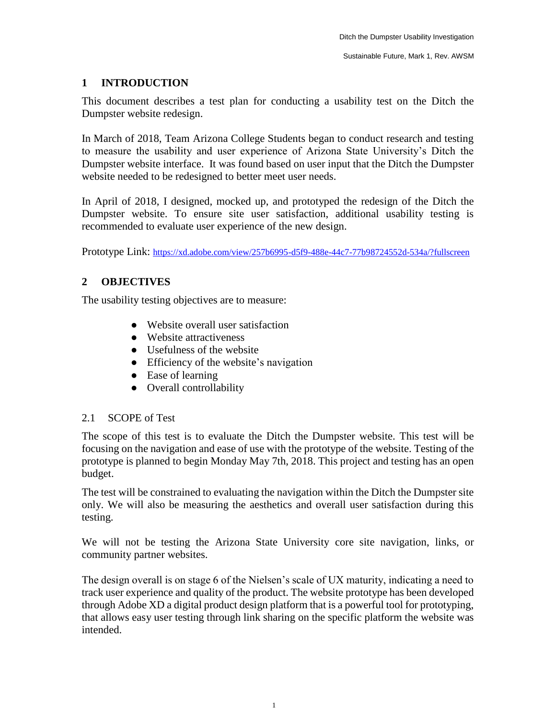## **1 INTRODUCTION**

This document describes a test plan for conducting a usability test on the Ditch the Dumpster website redesign.

In March of 2018, Team Arizona College Students began to conduct research and testing to measure the usability and user experience of Arizona State University's Ditch the Dumpster website interface. It was found based on user input that the Ditch the Dumpster website needed to be redesigned to better meet user needs.

In April of 2018, I designed, mocked up, and prototyped the redesign of the Ditch the Dumpster website. To ensure site user satisfaction, additional usability testing is recommended to evaluate user experience of the new design.

Prototype Link: <https://xd.adobe.com/view/257b6995-d5f9-488e-44c7-77b98724552d-534a/?fullscreen>

## **2 OBJECTIVES**

The usability testing objectives are to measure:

- Website overall user satisfaction
- Website attractiveness
- Usefulness of the website
- Efficiency of the website's navigation
- Ease of learning
- Overall controllability

## 2.1 SCOPE of Test

The scope of this test is to evaluate the Ditch the Dumpster website. This test will be focusing on the navigation and ease of use with the prototype of the website. Testing of the prototype is planned to begin Monday May 7th, 2018. This project and testing has an open budget.

The test will be constrained to evaluating the navigation within the Ditch the Dumpster site only. We will also be measuring the aesthetics and overall user satisfaction during this testing.

We will not be testing the Arizona State University core site navigation, links, or community partner websites.

The design overall is on stage 6 of the Nielsen's scale of UX maturity, indicating a need to track user experience and quality of the product. The website prototype has been developed through Adobe XD a digital product design platform that is a powerful tool for prototyping, that allows easy user testing through link sharing on the specific platform the website was intended.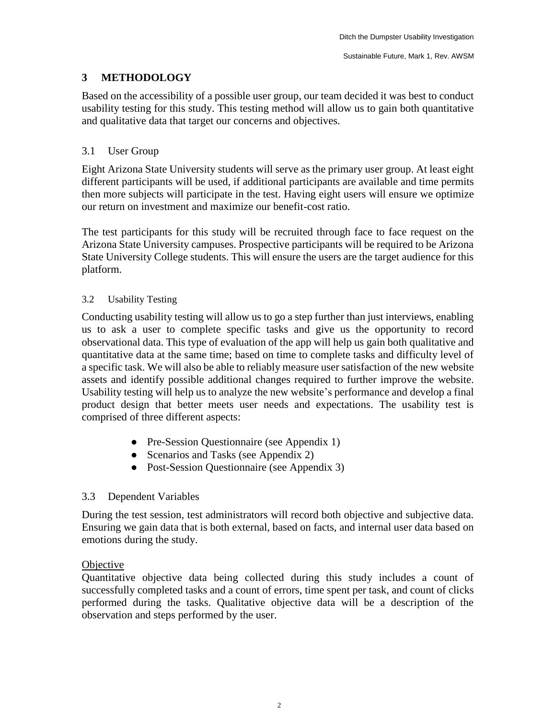## **3 METHODOLOGY**

Based on the accessibility of a possible user group, our team decided it was best to conduct usability testing for this study. This testing method will allow us to gain both quantitative and qualitative data that target our concerns and objectives.

## 3.1 User Group

Eight Arizona State University students will serve as the primary user group. At least eight different participants will be used, if additional participants are available and time permits then more subjects will participate in the test. Having eight users will ensure we optimize our return on investment and maximize our benefit-cost ratio.

The test participants for this study will be recruited through face to face request on the Arizona State University campuses. Prospective participants will be required to be Arizona State University College students. This will ensure the users are the target audience for this platform.

## 3.2 Usability Testing

Conducting usability testing will allow us to go a step further than just interviews, enabling us to ask a user to complete specific tasks and give us the opportunity to record observational data. This type of evaluation of the app will help us gain both qualitative and quantitative data at the same time; based on time to complete tasks and difficulty level of a specific task. We will also be able to reliably measure user satisfaction of the new website assets and identify possible additional changes required to further improve the website. Usability testing will help us to analyze the new website's performance and develop a final product design that better meets user needs and expectations. The usability test is comprised of three different aspects:

- Pre-Session Questionnaire (see Appendix 1)
- Scenarios and Tasks (see Appendix 2)
- Post-Session Questionnaire (see Appendix 3)

## 3.3 Dependent Variables

During the test session, test administrators will record both objective and subjective data. Ensuring we gain data that is both external, based on facts, and internal user data based on emotions during the study.

## **Objective**

Quantitative objective data being collected during this study includes a count of successfully completed tasks and a count of errors, time spent per task, and count of clicks performed during the tasks. Qualitative objective data will be a description of the observation and steps performed by the user.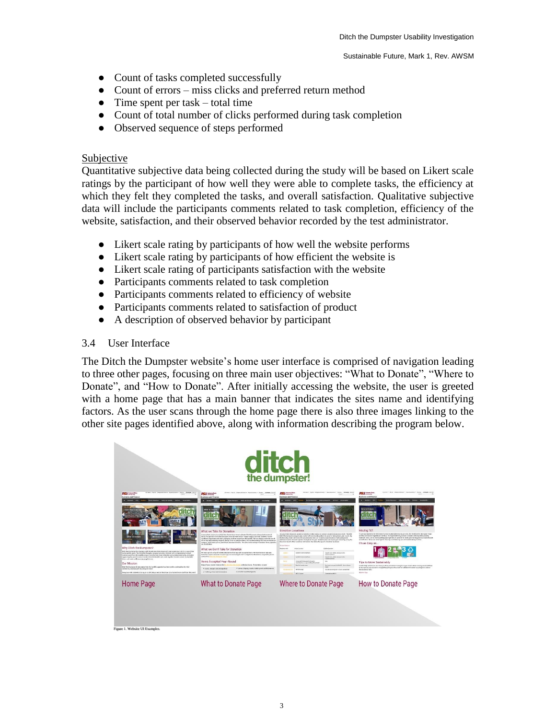- Count of tasks completed successfully
- Count of errors miss clicks and preferred return method
- Time spent per task  $-$  total time
- Count of total number of clicks performed during task completion
- Observed sequence of steps performed

## Subjective

Quantitative subjective data being collected during the study will be based on Likert scale ratings by the participant of how well they were able to complete tasks, the efficiency at which they felt they completed the tasks, and overall satisfaction. Qualitative subjective data will include the participants comments related to task completion, efficiency of the website, satisfaction, and their observed behavior recorded by the test administrator.

- Likert scale rating by participants of how well the website performs
- Likert scale rating by participants of how efficient the website is
- Likert scale rating of participants satisfaction with the website
- Participants comments related to task completion
- Participants comments related to efficiency of website
- Participants comments related to satisfaction of product
- A description of observed behavior by participant

## 3.4 User Interface

The Ditch the Dumpster website's home user interface is comprised of navigation leading to three other pages, focusing on three main user objectives: "What to Donate", "Where to Donate", and "How to Donate". After initially accessing the website, the user is greeted with a home page that has a main banner that indicates the sites name and identifying factors. As the user scans through the home page there is also three images linking to the other site pages identified above, along with information describing the program below.

|                                                                                                                                                                                                                                                                                                                                                                                                                                                                                                                                                                                                                                                                          | <b>ditch</b><br>the dumpster!                                                                                                                                                                                                                                                                                                                                                                                                                                                                                                                                                                                                                                                                                                                                                                                                                                                                                                                                                                                                                                                                                                 |                                                                                                                                                                                                                                                                                                                                                                                                                                                                                                                                                                                                                                                                                                                                                                                                                                                                                                                                                                                                                                                                                              |                                                                                                                                                                                                                                                                                                                                                                                                                                                                                                                                                                                                                                                             |
|--------------------------------------------------------------------------------------------------------------------------------------------------------------------------------------------------------------------------------------------------------------------------------------------------------------------------------------------------------------------------------------------------------------------------------------------------------------------------------------------------------------------------------------------------------------------------------------------------------------------------------------------------------------------------|-------------------------------------------------------------------------------------------------------------------------------------------------------------------------------------------------------------------------------------------------------------------------------------------------------------------------------------------------------------------------------------------------------------------------------------------------------------------------------------------------------------------------------------------------------------------------------------------------------------------------------------------------------------------------------------------------------------------------------------------------------------------------------------------------------------------------------------------------------------------------------------------------------------------------------------------------------------------------------------------------------------------------------------------------------------------------------------------------------------------------------|----------------------------------------------------------------------------------------------------------------------------------------------------------------------------------------------------------------------------------------------------------------------------------------------------------------------------------------------------------------------------------------------------------------------------------------------------------------------------------------------------------------------------------------------------------------------------------------------------------------------------------------------------------------------------------------------------------------------------------------------------------------------------------------------------------------------------------------------------------------------------------------------------------------------------------------------------------------------------------------------------------------------------------------------------------------------------------------------|-------------------------------------------------------------------------------------------------------------------------------------------------------------------------------------------------------------------------------------------------------------------------------------------------------------------------------------------------------------------------------------------------------------------------------------------------------------------------------------------------------------------------------------------------------------------------------------------------------------------------------------------------------------|
| <b>PISTI</b> Antonio State<br><b>Business and Finance</b><br>Automotive City<br>sma - Sales ent Security - Services - Sumpressing<br>Why Ditch the Dumpster?<br>Drach the Dumpater fits closely in with the Arizona State University's zero was to good, which is one of four<br>says exhibit goods. The GMS the Computer program provides students with an egg arturity to divert<br>isoteni exay tren the brafit and put 4 dentity into reservitties the concording conversity, utilisotely<br>supporting the goal of many clumpion from the landfift. Let's work together towards a more th stutusble.<br>have and make a difference imperiple's horn.<br>Our Mission | <b>FISU</b> discoussing<br><b>Business and Finance</b><br>Boles, Old Service<br>Home Resource : Sales and Gooder -<br><b><i><u>Property</u></i></b><br><b>What to De</b><br>the clum<br>What we Take for Donation<br>Internation shake Connective Child Despite the program of product code and the program of provided a supporter<br>during the fall 2016 Elish the European move in overt on the Tempe compas Each fall, students respeir<br>confinced. Styrology and other packaging to direct a pate flow the localS1. "We are slengy excited to see all<br>of the new andoresming students during travel in and give them a first or destanding into how we recycle on<br>campus," sad Alano Levina, Zeto Mayle posedant director. We take a wide variety of denation Anno, specifico.<br>new finish holiday<br>What we Don't Take for Donation<br>We have specific shop off events fielded below that vary with accepted there. We don't however take any<br>hopeshop work material or trads. If you're weeper if your new is shighly for devotion or resyclable, please<br>corner the 19<br>Items Accepted Year-Round | <b>PSU</b> determines<br><b>Business and Finance</b><br>Delman - China Audio<br><b>Sales and Security</b><br>hrreto Donab<br>Donation Locations<br>Anoma Thits Unyonisty resultation help heat when values or exhibit during to a books a to be N. The ASU<br>Ditch the Durapoter program also works with excernating postners to asset in taking items year reard. Oly<br>Berthers Bay Staters of Central Anizona steeping bets are treated anound residence balls and provide<br>additional waste distributions cotions throughout the year. Students also can record wear-round by using the<br>line lots found a fine residence hall some. See below for specific domains tenations.<br>Twinge Element<br><b>Brighton Wall</b><br><b>bobs Louises</b><br><b><i><u><u>Address</u></u></i></b><br>Alexandr Community Bayer<br><b>Senior Claim - Suffer and could be fire</b><br>-<br>Contracts Form<br><b>Attabili Constructions</b><br>Saved Crisis - mailer shows to a thin<br>Company's Server<br>Cours and Group and high paper.<br><b>Sent</b><br>with sales accepted a Rendi backdot | <b>ASH</b> Attorney<br><b>Dusiness and Finance</b><br>Bakes - OD - Fulfills - Hawningcolor - Saleyard Holdy - Serious - Suitabodily<br><b>Low by Donah</b><br>Moving 101<br>To get you cauted in the direction of a most sustainable moving process. the the Disth the European Team<br>and the Zero Waste Department can help. It's important to try and use no mobile and receptable packing<br>numerials. Also, use on much sections space are boy as possible to make your moving property more efficient<br>and effective. Oclove are some tips for moving as and moving out with suplamability as much<br>It's as Easy as<br>Tips to Move Sustainably |
| Orach the Durrisoner diverte warne from the landSE, topports bookboom-profits and trauthes the ASD<br>community obset proper may the guest more<br>Every year ASS students makes on an afficiation maker them accumulated more studi than they need<br>Home Page                                                                                                                                                                                                                                                                                                                                                                                                         | Brop off your ninelier keens in the big by<br>the hairs celerior boos. Here was neight<br>· Lines, States tower, bedding and mathed commit-<br>· Contact becomes and strongs hims<br>· timeler household-pools<br>· Clutter g, shares and accessories<br><b>What to Donate Page</b>                                                                                                                                                                                                                                                                                                                                                                                                                                                                                                                                                                                                                                                                                                                                                                                                                                           | Besi Hutlandy over<br>Networkinged trained-doctoilence<br><b>MECHELLAND</b><br>Ozaik sat Eringfol-clara Long Innt<br><b>METER Sales</b><br>Contractors MRT 8<br>Where to Donate Page                                                                                                                                                                                                                                                                                                                                                                                                                                                                                                                                                                                                                                                                                                                                                                                                                                                                                                         | Act for help. Volunteers can show you have and where to recycle in your down. When mosting out, in addition<br>to the normal year-more ca-mingled recycling to cation, lead for additional label net yeling bins around<br>the residence halls.<br><b><i>Displace Co. Trees</i></b><br>How to Donate Page                                                                                                                                                                                                                                                                                                                                                   |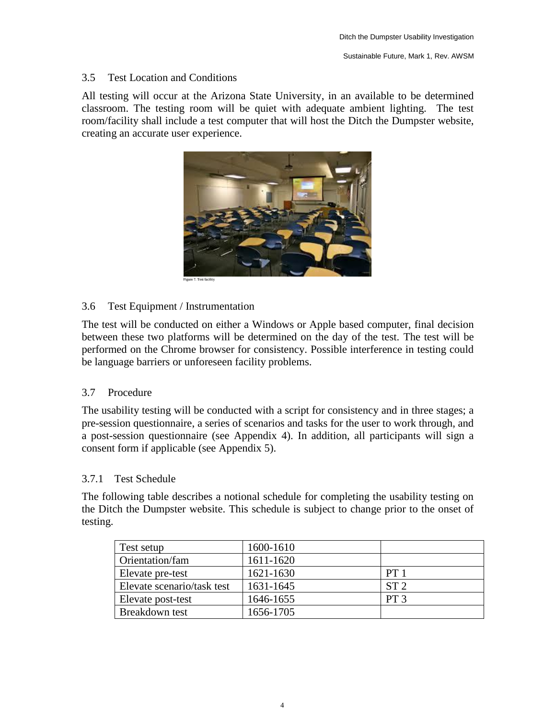## 3.5 Test Location and Conditions

All testing will occur at the Arizona State University, in an available to be determined classroom. The testing room will be quiet with adequate ambient lighting. The test room/facility shall include a test computer that will host the Ditch the Dumpster website, creating an accurate user experience.



3.6 Test Equipment / Instrumentation

The test will be conducted on either a Windows or Apple based computer, final decision between these two platforms will be determined on the day of the test. The test will be performed on the Chrome browser for consistency. Possible interference in testing could be language barriers or unforeseen facility problems.

## 3.7 Procedure

The usability testing will be conducted with a script for consistency and in three stages; a pre-session questionnaire, a series of scenarios and tasks for the user to work through, and a post-session questionnaire (see Appendix 4). In addition, all participants will sign a consent form if applicable (see Appendix 5).

## 3.7.1 Test Schedule

The following table describes a notional schedule for completing the usability testing on the Ditch the Dumpster website. This schedule is subject to change prior to the onset of testing.

| Test setup                 | 1600-1610 |                 |
|----------------------------|-----------|-----------------|
| Orientation/fam            | 1611-1620 |                 |
| Elevate pre-test           | 1621-1630 | PT <sub>1</sub> |
| Elevate scenario/task test | 1631-1645 | ST <sub>2</sub> |
| Elevate post-test          | 1646-1655 | PT <sub>3</sub> |
| Breakdown test             | 1656-1705 |                 |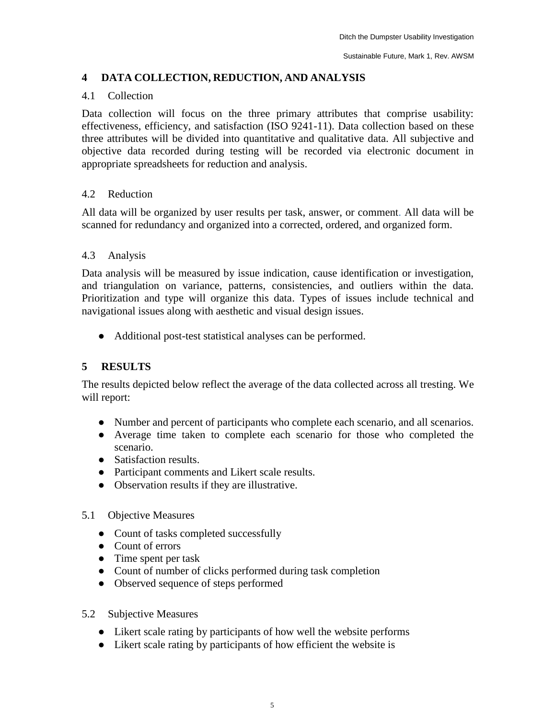## **4 DATA COLLECTION, REDUCTION, AND ANALYSIS**

## 4.1 Collection

Data collection will focus on the three primary attributes that comprise usability: effectiveness, efficiency, and satisfaction (ISO 9241-11). Data collection based on these three attributes will be divided into quantitative and qualitative data. All subjective and objective data recorded during testing will be recorded via electronic document in appropriate spreadsheets for reduction and analysis.

## 4.2 Reduction

All data will be organized by user results per task, answer, or comment. All data will be scanned for redundancy and organized into a corrected, ordered, and organized form.

## 4.3 Analysis

Data analysis will be measured by issue indication, cause identification or investigation, and triangulation on variance, patterns, consistencies, and outliers within the data. Prioritization and type will organize this data. Types of issues include technical and navigational issues along with aesthetic and visual design issues.

● Additional post-test statistical analyses can be performed.

## **5 RESULTS**

The results depicted below reflect the average of the data collected across all tresting. We will report:

- Number and percent of participants who complete each scenario, and all scenarios.
- Average time taken to complete each scenario for those who completed the scenario.
- Satisfaction results.
- Participant comments and Likert scale results.
- Observation results if they are illustrative.
- 5.1 Objective Measures
	- Count of tasks completed successfully
	- Count of errors
	- Time spent per task
	- Count of number of clicks performed during task completion
	- Observed sequence of steps performed
- 5.2 Subjective Measures
	- Likert scale rating by participants of how well the website performs
	- Likert scale rating by participants of how efficient the website is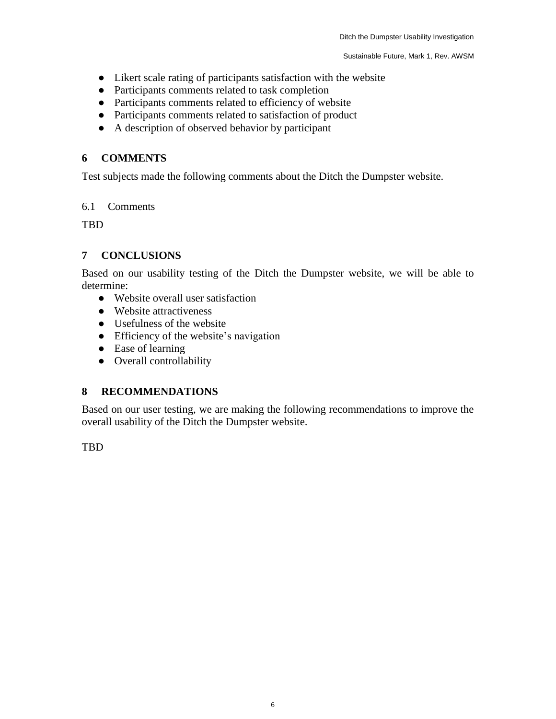- Likert scale rating of participants satisfaction with the website
- Participants comments related to task completion
- Participants comments related to efficiency of website
- Participants comments related to satisfaction of product
- A description of observed behavior by participant

## **6 COMMENTS**

Test subjects made the following comments about the Ditch the Dumpster website.

## 6.1 Comments

**TBD** 

## **7 CONCLUSIONS**

Based on our usability testing of the Ditch the Dumpster website, we will be able to determine:

- Website overall user satisfaction
- Website attractiveness
- Usefulness of the website
- Efficiency of the website's navigation
- Ease of learning
- Overall controllability

## **8 RECOMMENDATIONS**

Based on our user testing, we are making the following recommendations to improve the overall usability of the Ditch the Dumpster website.

TBD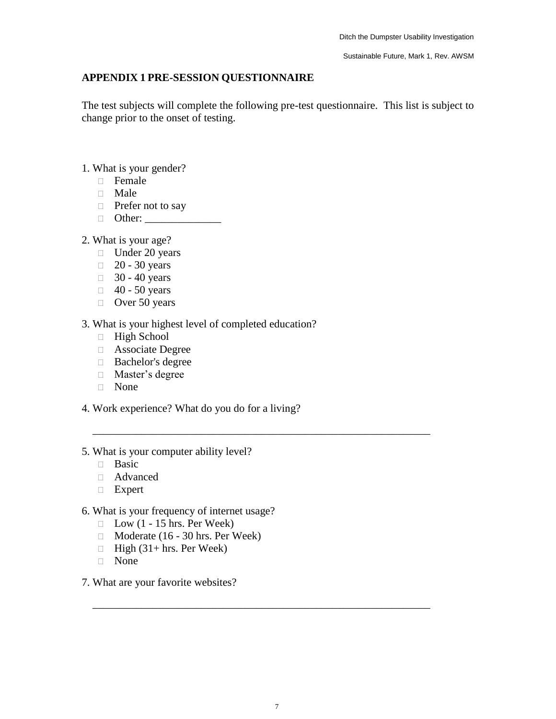## **APPENDIX 1 PRE-SESSION QUESTIONNAIRE**

The test subjects will complete the following pre-test questionnaire. This list is subject to change prior to the onset of testing.

- 1. What is your gender?
	- Female
	- Male
	- $\Box$  Prefer not to say
	- Other: \_\_\_\_\_\_\_\_\_\_\_\_\_\_
- 2. What is your age?
	- $\Box$  Under 20 years
	- $\Box$  20 30 years
	- $\Box$  30 40 years
	- $\Box$  40 50 years
	- $\Box$  Over 50 years
- 3. What is your highest level of completed education?
	- High School
	- Associate Degree
	- Bachelor's degree
	- Master's degree
	- None
- 4. Work experience? What do you do for a living?

\_\_\_\_\_\_\_\_\_\_\_\_\_\_\_\_\_\_\_\_\_\_\_\_\_\_\_\_\_\_\_\_\_\_\_\_\_\_\_\_\_\_\_\_\_\_\_\_\_\_\_\_\_\_\_\_\_\_\_\_\_\_

\_\_\_\_\_\_\_\_\_\_\_\_\_\_\_\_\_\_\_\_\_\_\_\_\_\_\_\_\_\_\_\_\_\_\_\_\_\_\_\_\_\_\_\_\_\_\_\_\_\_\_\_\_\_\_\_\_\_\_\_\_\_

- 5. What is your computer ability level?
	- **Basic**
	- Advanced
	- Expert
- 6. What is your frequency of internet usage?
	- $\Box$  Low (1 15 hrs. Per Week)
	- $\Box$  Moderate (16 30 hrs. Per Week)
	- $\Box$  High (31+ hrs. Per Week)
	- None
- 7. What are your favorite websites?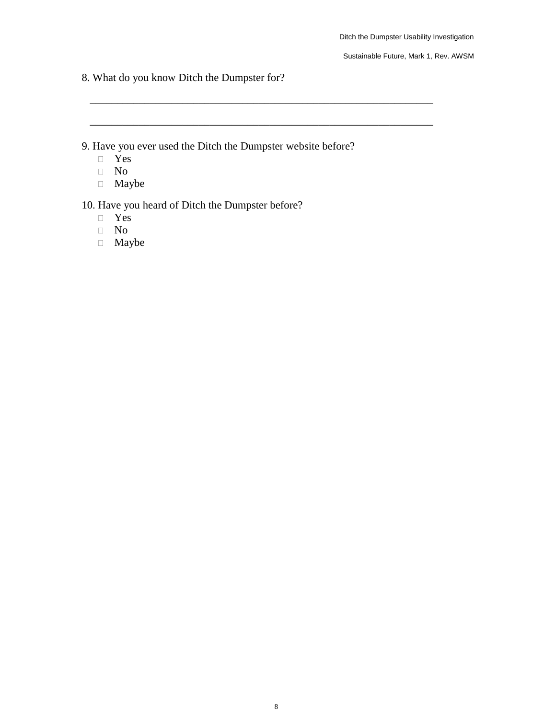8. What do you know Ditch the Dumpster for?

9. Have you ever used the Ditch the Dumpster website before?

\_\_\_\_\_\_\_\_\_\_\_\_\_\_\_\_\_\_\_\_\_\_\_\_\_\_\_\_\_\_\_\_\_\_\_\_\_\_\_\_\_\_\_\_\_\_\_\_\_\_\_\_\_\_\_\_\_\_\_\_\_\_\_

\_\_\_\_\_\_\_\_\_\_\_\_\_\_\_\_\_\_\_\_\_\_\_\_\_\_\_\_\_\_\_\_\_\_\_\_\_\_\_\_\_\_\_\_\_\_\_\_\_\_\_\_\_\_\_\_\_\_\_\_\_\_\_

- Yes
- No
- Maybe

10. Have you heard of Ditch the Dumpster before?

- Yes
- No
- Maybe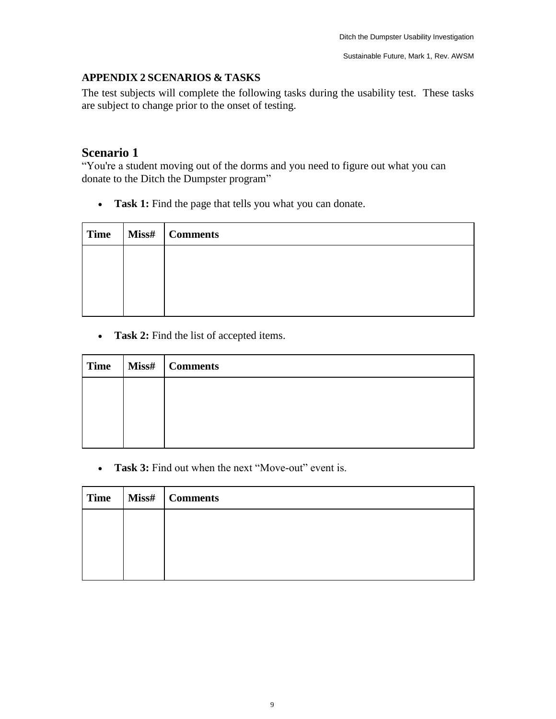## **APPENDIX 2 SCENARIOS & TASKS**

The test subjects will complete the following tasks during the usability test. These tasks are subject to change prior to the onset of testing.

## **Scenario 1**

"You're a student moving out of the dorms and you need to figure out what you can donate to the Ditch the Dumpster program"

• **Task 1:** Find the page that tells you what you can donate.

| <b>Time</b> | Miss#   Comments |
|-------------|------------------|
|             |                  |
|             |                  |
|             |                  |
|             |                  |

• **Task 2:** Find the list of accepted items.

| <b>Time</b> | Miss#   Comments |
|-------------|------------------|
|             |                  |
|             |                  |
|             |                  |
|             |                  |

• **Task 3:** Find out when the next "Move-out" event is.

| <b>Time</b> | Miss#   Comments |
|-------------|------------------|
|             |                  |
|             |                  |
|             |                  |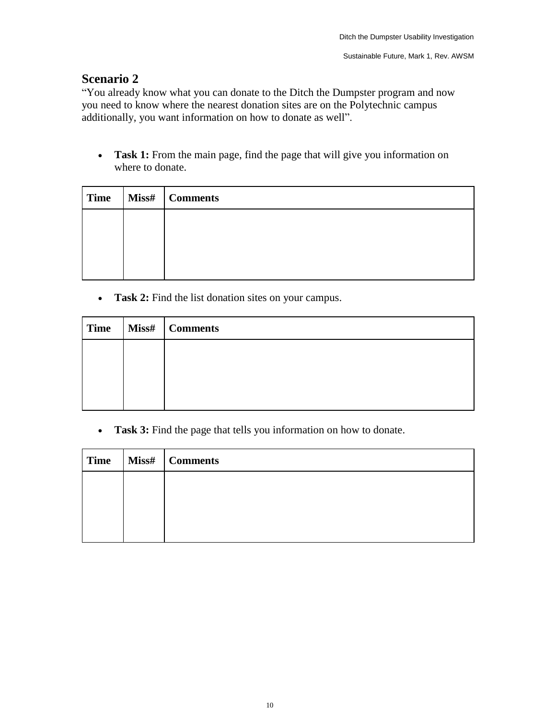## **Scenario 2**

"You already know what you can donate to the Ditch the Dumpster program and now you need to know where the nearest donation sites are on the Polytechnic campus additionally, you want information on how to donate as well".

• **Task 1:** From the main page, find the page that will give you information on where to donate.

| <b>Time</b> | Miss#   Comments |
|-------------|------------------|
|             |                  |
|             |                  |
|             |                  |

• **Task 2:** Find the list donation sites on your campus.

| <b>Time</b> | Miss#   Comments |
|-------------|------------------|
|             |                  |
|             |                  |
|             |                  |

• **Task 3:** Find the page that tells you information on how to donate.

| <b>Time</b> | Miss#   Comments |
|-------------|------------------|
|             |                  |
|             |                  |
|             |                  |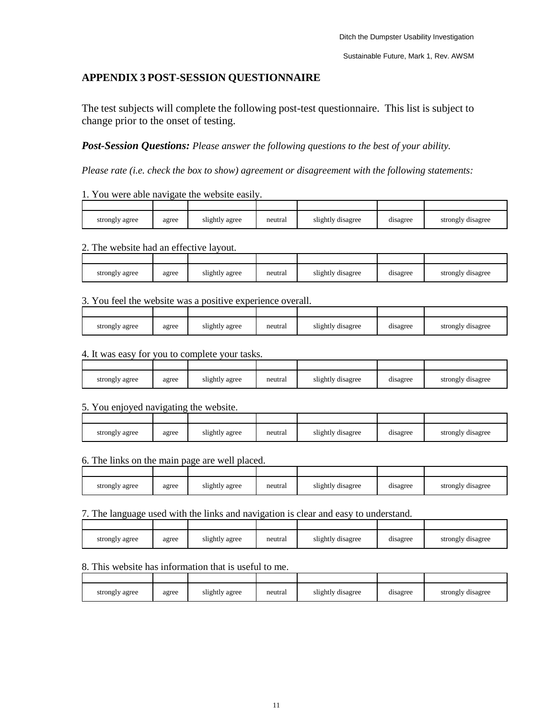## **APPENDIX 3 POST-SESSION QUESTIONNAIRE**

The test subjects will complete the following post-test questionnaire. This list is subject to change prior to the onset of testing.

*Post-Session Questions: Please answer the following questions to the best of your ability.* 

*Please rate (i.e. check the box to show) agreement or disagreement with the following statements:* 

#### 1. You were able navigate the website easily.

| strongly agree | agree | slightly agree | neutral | slightly disagree | disagree | strongly disagree |
|----------------|-------|----------------|---------|-------------------|----------|-------------------|

#### 2. The website had an effective layout.

| strongly agree | agree | slightly agree | neutral | slightly disagree | disagree | strongly disagree |
|----------------|-------|----------------|---------|-------------------|----------|-------------------|

#### 3. You feel the website was a positive experience overall.

| strongly agree | agree | slightly agree | neutral | slightly disagree | disagree | strongly disagree |
|----------------|-------|----------------|---------|-------------------|----------|-------------------|

#### 4. It was easy for you to complete your tasks.

| strongly agree | agree | slightly agree | neutral | slightly disagree | disagree | strongly disagree |
|----------------|-------|----------------|---------|-------------------|----------|-------------------|

### 5. You enjoyed navigating the website.

| strongly agree | agree | slightly agree | neutral | slightly disagree | disagree | strongly disagree |
|----------------|-------|----------------|---------|-------------------|----------|-------------------|

### 6. The links on the main page are well placed.

| strongly agree | agree | slightly agree | neutral | slightly disagree | disagree | strongly disagree |
|----------------|-------|----------------|---------|-------------------|----------|-------------------|

#### 7. The language used with the links and navigation is clear and easy to understand.

| strongly agree | agree | slightly agree | neutral | slightly disagree | . .<br>disagree | strongly disagree |
|----------------|-------|----------------|---------|-------------------|-----------------|-------------------|

### 8. This website has information that is useful to me.

| strongly agree | agree | slightly agree | neutral | slightly disagree | disagree | strongly disagree |
|----------------|-------|----------------|---------|-------------------|----------|-------------------|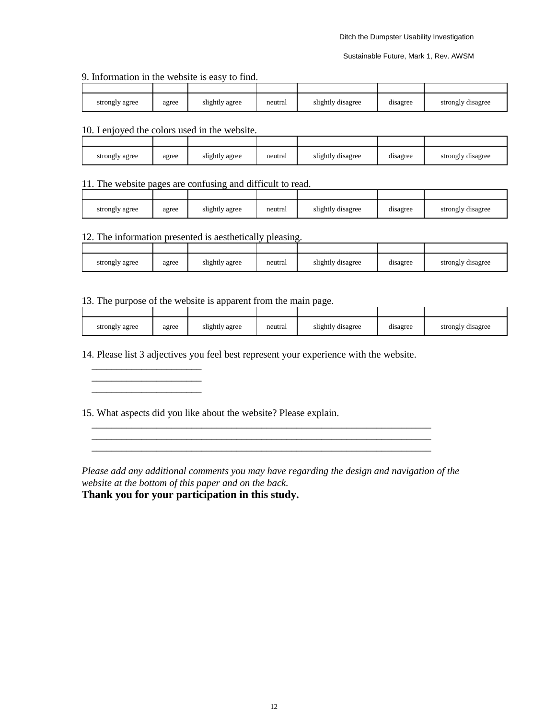9. Information in the website is easy to find.

| strongly agree | agree | slightly agree | neutral | slightly disagree | disagree | strongly disagree |
|----------------|-------|----------------|---------|-------------------|----------|-------------------|

#### 10. I enjoyed the colors used in the website.

 $\frac{1}{2}$  ,  $\frac{1}{2}$  ,  $\frac{1}{2}$  ,  $\frac{1}{2}$  ,  $\frac{1}{2}$  ,  $\frac{1}{2}$  ,  $\frac{1}{2}$  ,  $\frac{1}{2}$  ,  $\frac{1}{2}$  ,  $\frac{1}{2}$  ,  $\frac{1}{2}$  ,  $\frac{1}{2}$  ,  $\frac{1}{2}$  ,  $\frac{1}{2}$  ,  $\frac{1}{2}$  ,  $\frac{1}{2}$  ,  $\frac{1}{2}$  ,  $\frac{1}{2}$  ,  $\frac{1$  $\overline{\phantom{a}}$  , where the contract of the contract of the contract of the contract of the contract of the contract of the contract of the contract of the contract of the contract of the contract of the contract of the contr

| strongly agree | agree | slightly agree | neutral | slightly disagree | disagree | strongly disagree |
|----------------|-------|----------------|---------|-------------------|----------|-------------------|

#### 11. The website pages are confusing and difficult to read.

| strongly agree | agree | slightly agree | neutral | slightly disagree | disagree | strongly disagree |
|----------------|-------|----------------|---------|-------------------|----------|-------------------|

## 12. The information presented is aesthetically pleasing.

| strongly agree | agree | slightly agree | neutral | slightly disagree | . .<br>disagree | strongly disagree |
|----------------|-------|----------------|---------|-------------------|-----------------|-------------------|

#### 13. The purpose of the website is apparent from the main page.

| strongly agree | agree | slightly agree | neutral | slightly disagree | disagree | strongly disagree |
|----------------|-------|----------------|---------|-------------------|----------|-------------------|

14. Please list 3 adjectives you feel best represent your experience with the website.

\_\_\_\_\_\_\_\_\_\_\_\_\_\_\_\_\_\_\_\_\_\_\_\_\_\_\_\_\_\_\_\_\_\_\_\_\_\_\_\_\_\_\_\_\_\_\_\_\_\_\_\_\_\_\_\_\_\_\_\_\_\_\_\_\_\_\_\_

15. What aspects did you like about the website? Please explain.

*Please add any additional comments you may have regarding the design and navigation of the website at the bottom of this paper and on the back.* **Thank you for your participation in this study.**

\_\_\_\_\_\_\_\_\_\_\_\_\_\_\_\_\_\_\_\_\_\_\_\_\_\_\_\_\_\_\_\_\_\_\_\_\_\_\_\_\_\_\_\_\_\_\_\_\_\_\_\_\_\_\_\_\_\_\_\_\_\_\_\_\_\_\_\_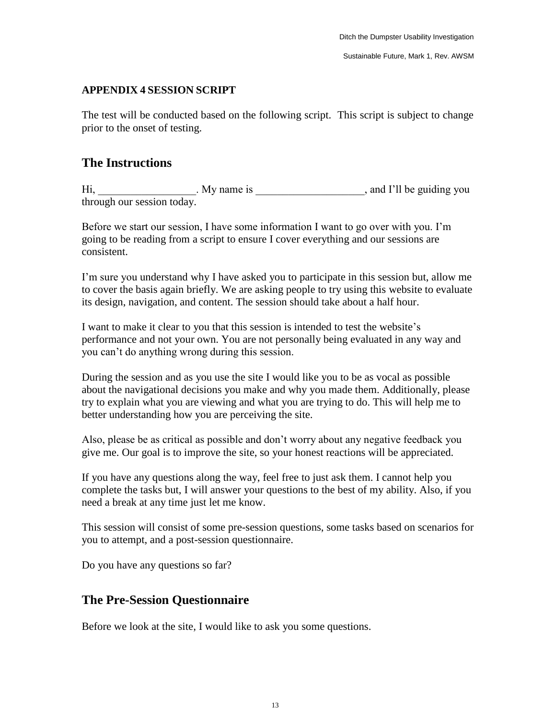## **APPENDIX 4 SESSION SCRIPT**

The test will be conducted based on the following script. This script is subject to change prior to the onset of testing.

## **The Instructions**

Hi, My name is Minimum All the guiding you through our session today.

Before we start our session, I have some information I want to go over with you. I'm going to be reading from a script to ensure I cover everything and our sessions are consistent.

I'm sure you understand why I have asked you to participate in this session but, allow me to cover the basis again briefly. We are asking people to try using this website to evaluate its design, navigation, and content. The session should take about a half hour.

I want to make it clear to you that this session is intended to test the website's performance and not your own. You are not personally being evaluated in any way and you can't do anything wrong during this session.

During the session and as you use the site I would like you to be as vocal as possible about the navigational decisions you make and why you made them. Additionally, please try to explain what you are viewing and what you are trying to do. This will help me to better understanding how you are perceiving the site.

Also, please be as critical as possible and don't worry about any negative feedback you give me. Our goal is to improve the site, so your honest reactions will be appreciated.

If you have any questions along the way, feel free to just ask them. I cannot help you complete the tasks but, I will answer your questions to the best of my ability. Also, if you need a break at any time just let me know.

This session will consist of some pre-session questions, some tasks based on scenarios for you to attempt, and a post-session questionnaire.

Do you have any questions so far?

## **The Pre-Session Questionnaire**

Before we look at the site, I would like to ask you some questions.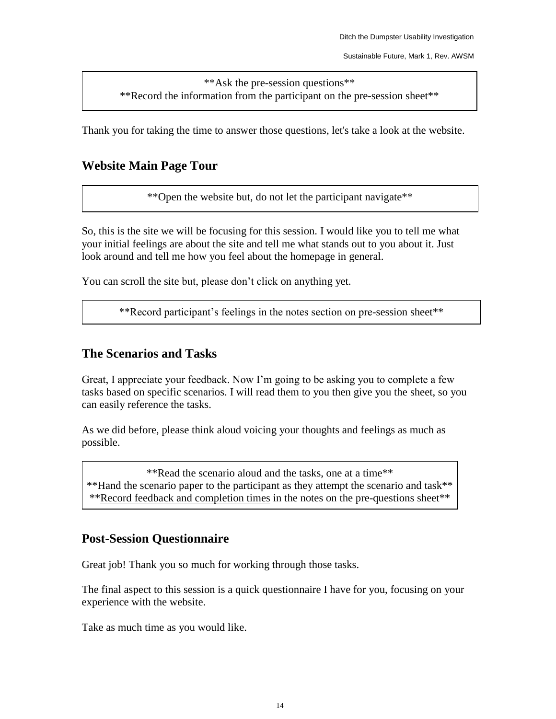\*\*Ask the pre-session questions\*\* \*\*Record the information from the participant on the pre-session sheet\*\*

Thank you for taking the time to answer those questions, let's take a look at the website.

## **Website Main Page Tour**

\*\*Open the website but, do not let the participant navigate\*\*

So, this is the site we will be focusing for this session. I would like you to tell me what your initial feelings are about the site and tell me what stands out to you about it. Just look around and tell me how you feel about the homepage in general.

You can scroll the site but, please don't click on anything yet.

\*\*Record participant's feelings in the notes section on pre-session sheet\*\*

## **The Scenarios and Tasks**

Great, I appreciate your feedback. Now I'm going to be asking you to complete a few tasks based on specific scenarios. I will read them to you then give you the sheet, so you can easily reference the tasks.

As we did before, please think aloud voicing your thoughts and feelings as much as possible.

\*\*Read the scenario aloud and the tasks, one at a time\*\* \*\*Hand the scenario paper to the participant as they attempt the scenario and task\*\*

\*\*Record feedback and completion times in the notes on the pre-questions sheet\*\*

## **Post-Session Questionnaire**

Great job! Thank you so much for working through those tasks.

The final aspect to this session is a quick questionnaire I have for you, focusing on your experience with the website.

Take as much time as you would like.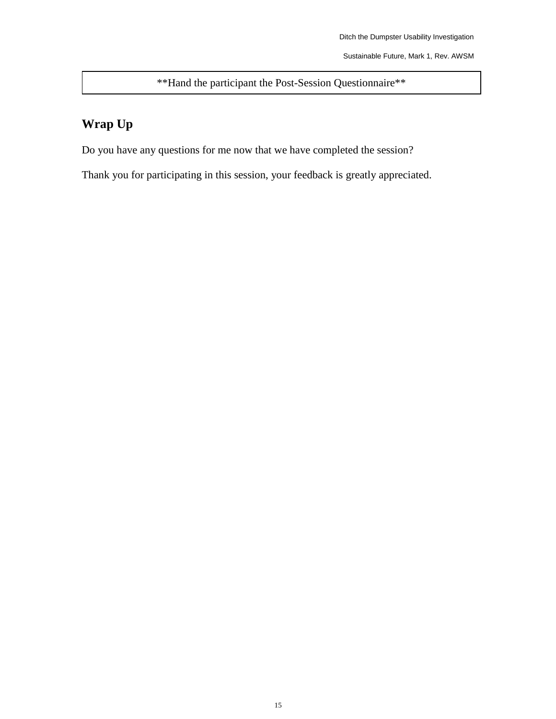\*\*Hand the participant the Post-Session Questionnaire\*\*

## **Wrap Up**

Do you have any questions for me now that we have completed the session?

Thank you for participating in this session, your feedback is greatly appreciated.